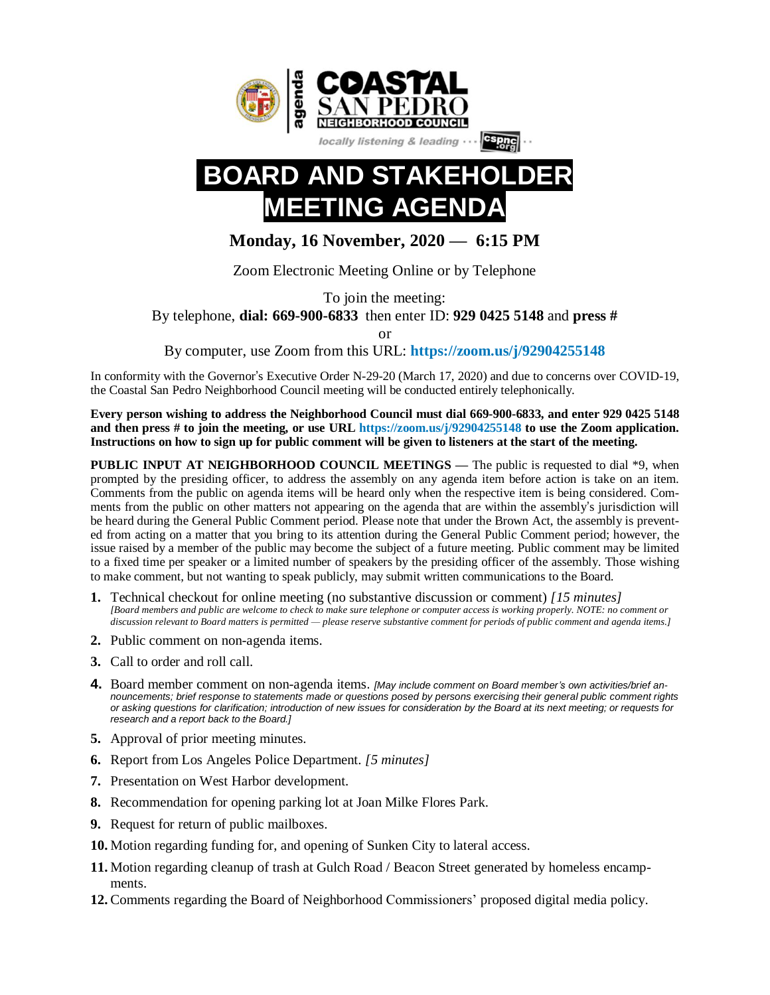

# **BOARD AND STAKEH GTAGEN**

# **Monday, 16 November, 2020 — 6:15 PM**

Zoom Electronic Meeting Online or by Telephone

To join the meeting:

By telephone, **dial: 669-900-6833** then enter ID: **929 0425 5148** and **press #**

or

By computer, use Zoom from this URL: **<https://zoom.us/j/92904255148>**

In conformity with the Governor's Executive Order N-29-20 (March 17, 2020) and due to concerns over COVID-19, the Coastal San Pedro Neighborhood Council meeting will be conducted entirely telephonically.

**Every person wishing to address the Neighborhood Council must dial 669-900-6833, and enter 929 0425 5148** and then press # to join the meeting, or use URL <https://zoom.us/j/92904255148> to use the Zoom application. Instructions on how to sign up for public comment will be given to listeners at the start of the meeting.

**PUBLIC INPUT AT NEIGHBORHOOD COUNCIL MEETINGS —** The public is requested to dial \*9, when prompted by the presiding officer, to address the assembly on any agenda item before action is take on an item. Comments from the public on agenda items will be heard only when the respective item is being considered. Comments from the public on other matters not appearing on the agenda that are within the assembly's jurisdiction will be heard during the General Public Comment period. Please note that under the Brown Act, the assembly is prevented from acting on a matter that you bring to its attention during the General Public Comment period; however, the issue raised by a member of the public may become the subject of a future meeting. Public comment may be limited to a fixed time per speaker or a limited number of speakers by the presiding officer of the assembly. Those wishing to make comment, but not wanting to speak publicly, may submit written communications to the Board.

- **1.** Technical checkout for online meeting (no substantive discussion or comment) *[15 minutes]* [Board members and public are welcome to check to make sure telephone or computer access is working properly. NOTE: no comment or discussion relevant to Board matters is permitted — please reserve substantive comment for periods of public comment and agenda items.]
- **2.** Public comment on non-agenda items.
- **3.** Call to order and roll call.
- **4.** Board member comment on non-agenda items. *[May include comment on Board member's own activities/brief an*nouncements; brief response to statements made or questions posed by persons exercising their general public comment rights or asking questions for clarification; introduction of new issues for consideration by the Board at its next meeting; or requests for *research and a report back to the Board.]*
- **5.** Approval of prior meeting minutes.
- **6.** Report from Los Angeles Police Department. *[5 minutes]*
- **7.** Presentation on West Harbor development.
- **8.** Recommendation for opening parking lot at Joan Milke Flores Park.
- **9.** Request for return of public mailboxes.
- **10.** Motion regarding funding for, and opening of Sunken City to lateral access.
- **11.** Motion regarding cleanup of trash at Gulch Road / Beacon Street generated by homeless encampments.
- **12.** Comments regarding the Board of Neighborhood Commissioners' proposed digital media policy.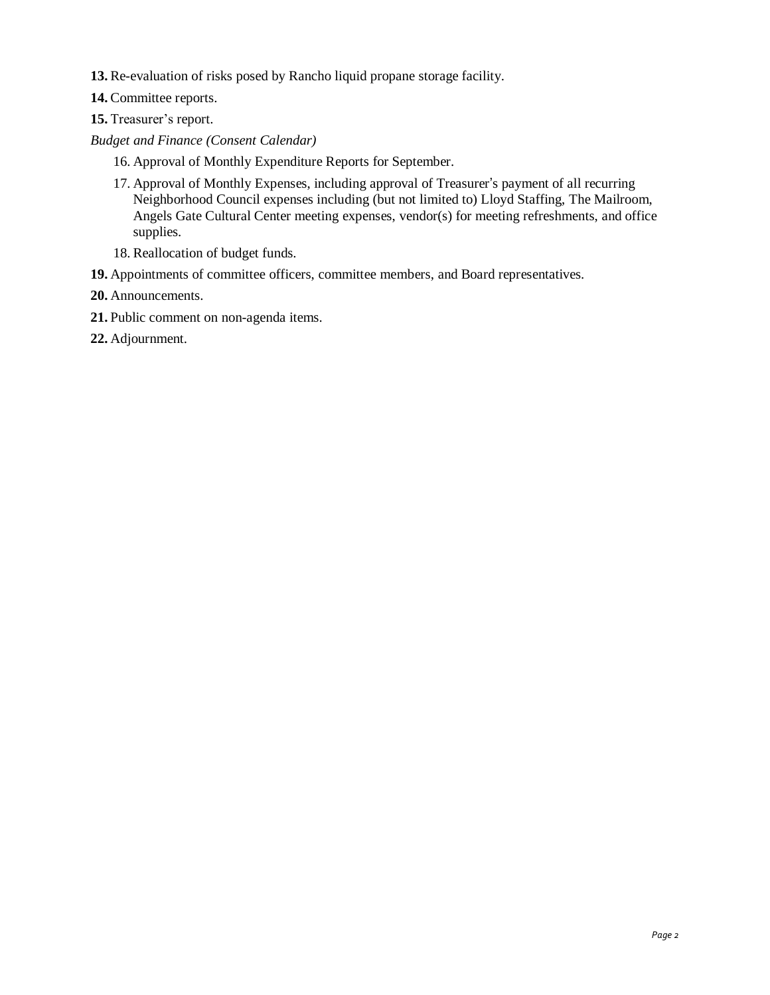- **13.** Re-evaluation of risks posed by Rancho liquid propane storage facility.
- **14.** Committee reports.
- **15.** Treasurer's report.
- *Budget and Finance (Consent Calendar)*
	- 16. Approval of Monthly Expenditure Reports for September.
	- 17. Approval of Monthly Expenses, including approval of Treasurer's payment of all recurring Neighborhood Council expenses including (but not limited to) Lloyd Staffing, The Mailroom, Angels Gate Cultural Center meeting expenses, vendor(s) for meeting refreshments, and office supplies.
	- 18. Reallocation of budget funds.
- **19.** Appointments of committee officers, committee members, and Board representatives.
- **20.** Announcements.
- **21.** Public comment on non-agenda items.
- **22.** Adjournment.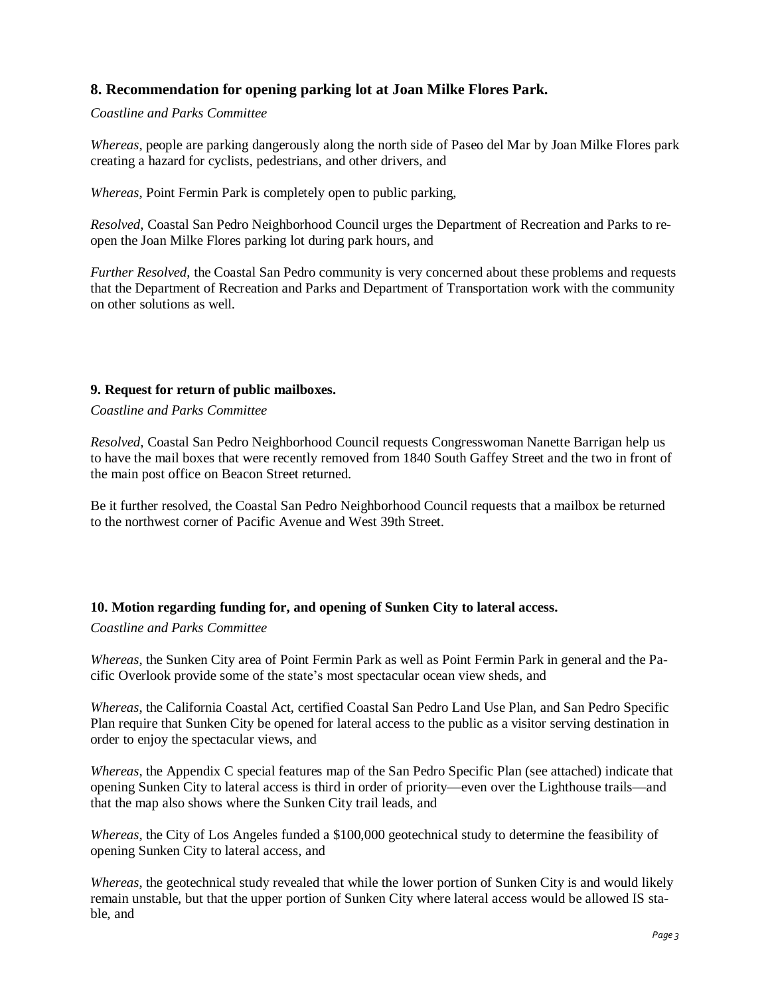# **8. Recommendation for opening parking lot at Joan Milke Flores Park.**

#### *Coastline and Parks Committee*

*Whereas*, people are parking dangerously along the north side of Paseo del Mar by Joan Milke Flores park creating a hazard for cyclists, pedestrians, and other drivers, and

*Whereas*, Point Fermin Park is completely open to public parking,

*Resolved*, Coastal San Pedro Neighborhood Council urges the Department of Recreation and Parks to reopen the Joan Milke Flores parking lot during park hours, and

*Further Resolved*, the Coastal San Pedro community is very concerned about these problems and requests that the Department of Recreation and Parks and Department of Transportation work with the community on other solutions as well.

#### **9. Request for return of public mailboxes.**

*Coastline and Parks Committee*

*Resolved*, Coastal San Pedro Neighborhood Council requests Congresswoman Nanette Barrigan help us to have the mail boxes that were recently removed from 1840 South Gaffey Street and the two in front of the main post office on Beacon Street returned.

Be it further resolved, the Coastal San Pedro Neighborhood Council requests that a mailbox be returned to the northwest corner of Pacific Avenue and West 39th Street.

#### **10. Motion regarding funding for, and opening of Sunken City to lateral access.**

*Coastline and Parks Committee*

*Whereas*, the Sunken City area of Point Fermin Park as well as Point Fermin Park in general and the Pacific Overlook provide some of the state's most spectacular ocean view sheds, and

*Whereas*, the California Coastal Act, certified Coastal San Pedro Land Use Plan, and San Pedro Specific Plan require that Sunken City be opened for lateral access to the public as a visitor serving destination in order to enjoy the spectacular views, and

*Whereas*, the Appendix C special features map of the San Pedro Specific Plan (see attached) indicate that opening Sunken City to lateral access is third in order of priority—even over the Lighthouse trails—and that the map also shows where the Sunken City trail leads, and

*Whereas*, the City of Los Angeles funded a \$100,000 geotechnical study to determine the feasibility of opening Sunken City to lateral access, and

*Whereas*, the geotechnical study revealed that while the lower portion of Sunken City is and would likely remain unstable, but that the upper portion of Sunken City where lateral access would be allowed IS stable, and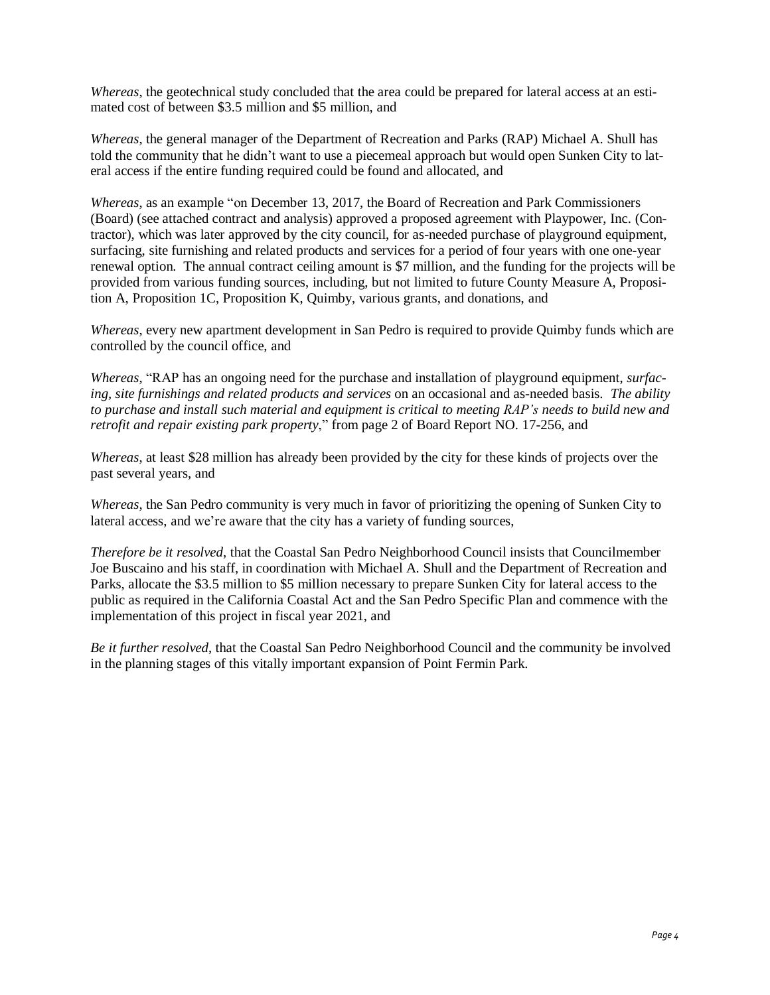*Whereas*, the geotechnical study concluded that the area could be prepared for lateral access at an esti-mated cost of between \$3.5 million and \$5 million, and

*Whereas*, the general manager of the Department of Recreation and Parks (RAP) Michael A. Shull has told the community that he didn't want to use a piecemeal approach but would open Sunken City to lateral access if the entire funding required could be found and allocated, and

*Whereas*, as an example "on December 13, 2017, the Board of Recreation and Park Commissioners (Board) (see attached contract and analysis) approved a proposed agreement with Playpower, Inc. (Contractor), which was later approved by the city council, for as-needed purchase of playground equipment, surfacing, site furnishing and related products and services for a period of four years with one one-year renewal option. The annual contract ceiling amount is \$7 million, and the funding for the projects will be provided from various funding sources, including, but not limited to future County Measure A, Proposition A, Proposition 1C, Proposition K, Quimby, various grants, and donations, and

*Whereas*, every new apartment development in San Pedro is required to provide Quimby funds which are controlled by the council office, and

*Whereas*, "RAP has an ongoing need for the purchase and installation of playground equipment, *surfacing, site furnishings and related products and services* on an occasional and as-needed basis. *The ability* to purchase and install such material and equipment is critical to meeting RAP's needs to build new and *retrofit and repair existing park property*," from page 2 of Board Report NO. 17-256, and

*Whereas*, at least \$28 million has already been provided by the city for these kinds of projects over the past several years, and

*Whereas*, the San Pedro community is very much in favor of prioritizing the opening of Sunken City to lateral access, and we're aware that the city has a variety of funding sources,

*Therefore be it resolved*, that the Coastal San Pedro Neighborhood Council insists that Councilmember Joe Buscaino and his staff, in coordination with Michael A. Shull and the Department of Recreation and Parks, allocate the \$3.5 million to \$5 million necessary to prepare Sunken City for lateral access to the public as required in the California Coastal Act and the San Pedro Specific Plan and commence with the implementation of this project in fiscal year 2021, and

*Be it further resolved*, that the Coastal San Pedro Neighborhood Council and the community be involved in the planning stages of this vitally important expansion of Point Fermin Park.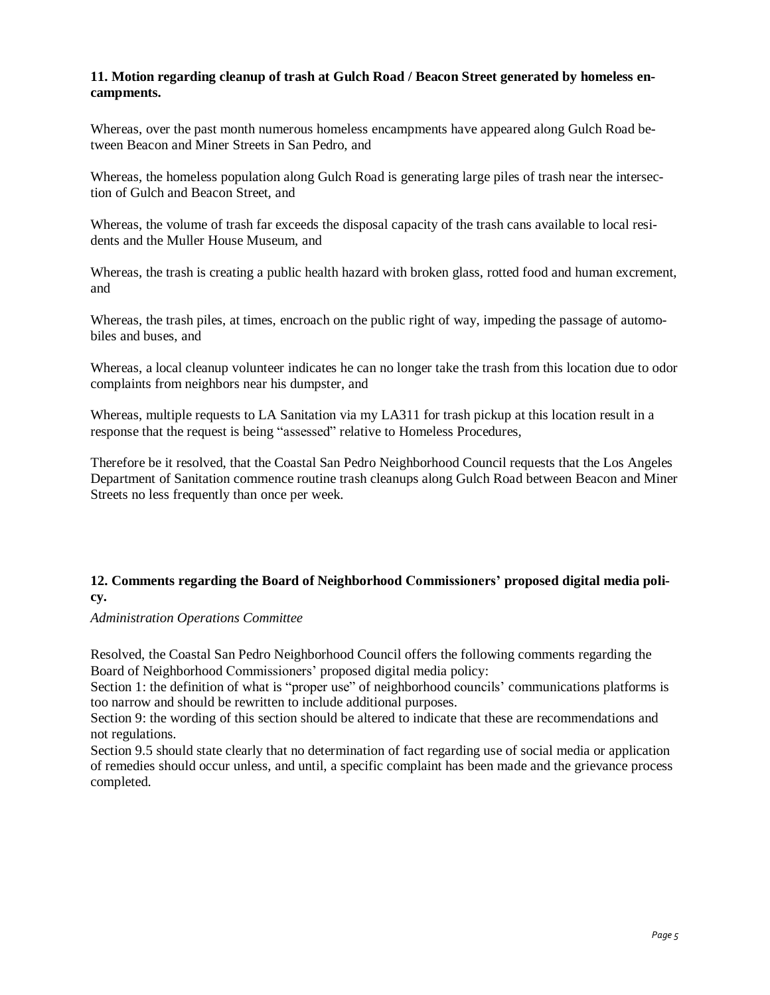#### **11. Motion regarding cleanup of trash at Gulch Road / Beacon Street generated by homeless encampments.**

Whereas, over the past month numerous homeless encampments have appeared along Gulch Road between Beacon and Miner Streets in San Pedro, and

Whereas, the homeless population along Gulch Road is generating large piles of trash near the intersection of Gulch and Beacon Street, and

Whereas, the volume of trash far exceeds the disposal capacity of the trash cans available to local residents and the Muller House Museum, and

Whereas, the trash is creating a public health hazard with broken glass, rotted food and human excrement, and

Whereas, the trash piles, at times, encroach on the public right of way, impeding the passage of automobiles and buses, and

Whereas, a local cleanup volunteer indicates he can no longer take the trash from this location due to odor complaints from neighbors near his dumpster, and

Whereas, multiple requests to LA Sanitation via my LA311 for trash pickup at this location result in a response that the request is being "assessed" relative to Homeless Procedures,

Therefore be it resolved, that the Coastal San Pedro Neighborhood Council requests that the Los Angeles Department of Sanitation commence routine trash cleanups along Gulch Road between Beacon and Miner Streets no less frequently than once per week.

## **12. Comments regarding the Board of Neighborhood Commissioners' proposed digital media policy.**

*Administration Operations Committee*

Resolved, the Coastal San Pedro Neighborhood Council offers the following comments regarding the Board of Neighborhood Commissioners' proposed digital media policy:

Section 1: the definition of what is "proper use" of neighborhood councils' communications platforms is too narrow and should be rewritten to include additional purposes.

Section 9: the wording of this section should be altered to indicate that these are recommendations and not regulations.

Section 9.5 should state clearly that no determination of fact regarding use of social media or application of remedies should occur unless, and until, a specific complaint has been made and the grievance process completed.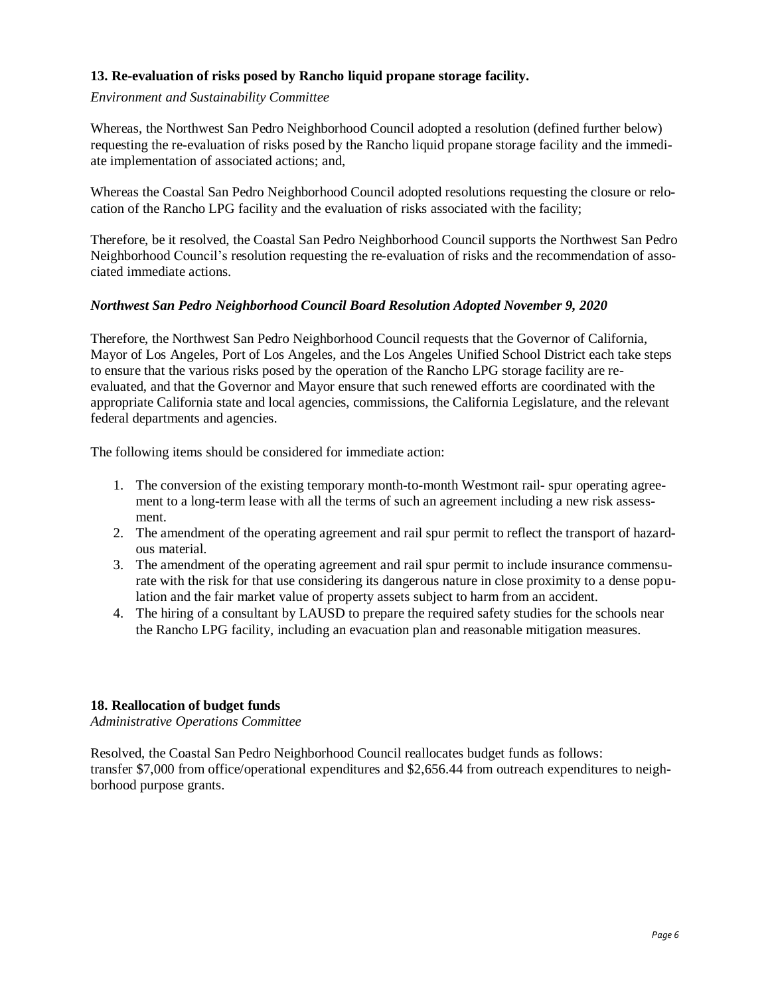## **13. Re-evaluation of risks posed by Rancho liquid propane storage facility.**

#### *Environment and Sustainability Committee*

Whereas, the Northwest San Pedro Neighborhood Council adopted a resolution (defined further below) requesting the re-evaluation of risks posed by the Rancho liquid propane storage facility and the immediate implementation of associated actions; and,

Whereas the Coastal San Pedro Neighborhood Council adopted resolutions requesting the closure or relocation of the Rancho LPG facility and the evaluation of risks associated with the facility;

Therefore, be it resolved, the Coastal San Pedro Neighborhood Council supports the Northwest San Pedro Neighborhood Council's resolution requesting the re-evaluation of risks and the recommendation of associated immediate actions.

#### *Northwest San Pedro Neighborhood Council Board Resolution Adopted November 9, 2020*

Therefore, the Northwest San Pedro Neighborhood Council requests that the Governor of California, Mayor of Los Angeles, Port of Los Angeles, and the Los Angeles Unified School District each take steps to ensure that the various risks posed by the operation of the Rancho LPG storage facility are reevaluated, and that the Governor and Mayor ensure that such renewed efforts are coordinated with the appropriate California state and local agencies, commissions, the California Legislature, and the relevant federal departments and agencies.

The following items should be considered for immediate action:

- 1. The conversion of the existing temporary month-to-month Westmont rail- spur operating agreement to a long-term lease with all the terms of such an agreement including a new risk assessment.
- 2. The amendment of the operating agreement and rail spur permit to reflect the transport of hazardous material.
- 3. The amendment of the operating agreement and rail spur permit to include insurance commensurate with the risk for that use considering its dangerous nature in close proximity to a dense population and the fair market value of property assets subject to harm from an accident.
- 4. The hiring of a consultant by LAUSD to prepare the required safety studies for the schools near the Rancho LPG facility, including an evacuation plan and reasonable mitigation measures.

#### **18. Reallocation of budget funds**

*Administrative Operations Committee*

Resolved, the Coastal San Pedro Neighborhood Council reallocates budget funds as follows: transfer \$7,000 from office/operational expenditures and \$2,656.44 from outreach expenditures to neighborhood purpose grants.